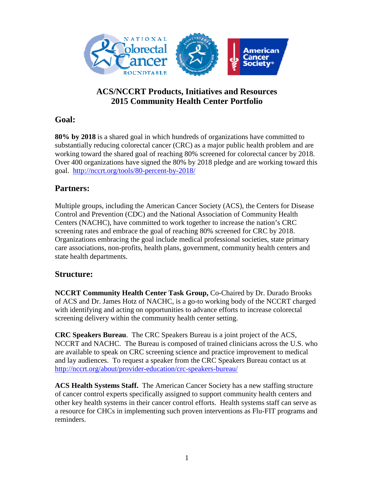

# **ACS/NCCRT Products, Initiatives and Resources 2015 Community Health Center Portfolio**

## **Goal:**

**80% by 2018** is a shared goal in which hundreds of organizations have committed to substantially reducing colorectal cancer (CRC) as a major public health problem and are working toward the shared goal of reaching 80% screened for colorectal cancer by 2018. Over 400 organizations have signed the 80% by 2018 pledge and are working toward this goal. http://nccrt.org/tools/80-percent-by-2018/

# **Partners:**

Multiple groups, including the American Cancer Society (ACS), the Centers for Disease Control and Prevention (CDC) and the National Association of Community Health Centers (NACHC), have committed to work together to increase the nation's CRC screening rates and embrace the goal of reaching 80% screened for CRC by 2018. Organizations embracing the goal include medical professional societies, state primary care associations, non-profits, health plans, government, community health centers and state health departments.

### **Structure:**

**NCCRT Community Health Center Task Group,** Co-Chaired by Dr. Durado Brooks of ACS and Dr. James Hotz of NACHC, is a go-to working body of the NCCRT charged with identifying and acting on opportunities to advance efforts to increase colorectal screening delivery within the community health center setting.

**CRC Speakers Bureau**. The CRC Speakers Bureau is a joint project of the ACS, NCCRT and NACHC. The Bureau is composed of trained clinicians across the U.S. who are available to speak on CRC screening science and practice improvement to medical and lay audiences. To request a speaker from the CRC Speakers Bureau contact us at http://nccrt.org/about/provider-education/crc-speakers-bureau/

**ACS Health Systems Staff.** The American Cancer Society has a new staffing structure of cancer control experts specifically assigned to support community health centers and other key health systems in their cancer control efforts. Health systems staff can serve as a resource for CHCs in implementing such proven interventions as Flu-FIT programs and reminders.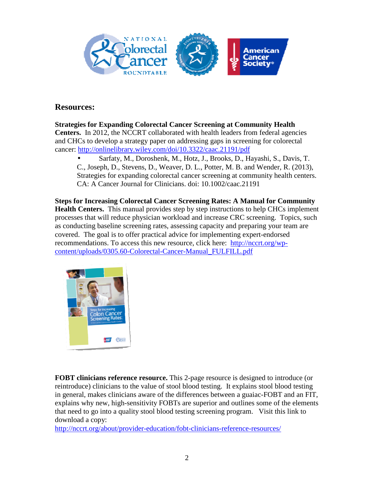

### **Resources:**

#### **Strategies for Expanding Colorectal Cancer Screening at Community Health**

**Centers.** In 2012, the NCCRT collaborated with health leaders from federal agencies and CHCs to develop a strategy paper on addressing gaps in screening for colorectal cancer: http://onlinelibrary.wiley.com/doi/10.3322/caac.21191/pdf

• Sarfaty, M., Doroshenk, M., Hotz, J., Brooks, D., Hayashi, S., Davis, T. C., Joseph, D., Stevens, D., Weaver, D. L., Potter, M. B. and Wender, R. (2013), Strategies for expanding colorectal cancer screening at community health centers. CA: A Cancer Journal for Clinicians. doi: 10.1002/caac.21191

**Steps for Increasing Colorectal Cancer Screening Rates: A Manual for Community Health Centers.** This manual provides step by step instructions to help CHCs implement processes that will reduce physician workload and increase CRC screening. Topics, such as conducting baseline screening rates, assessing capacity and preparing your team are covered. The goal is to offer practical advice for implementing expert-endorsed recommendations. To access this new resource, click here: http://nccrt.org/wpcontent/uploads/0305.60-Colorectal-Cancer-Manual\_FULFILL.pdf



**FOBT clinicians reference resource.** This 2-page resource is designed to introduce (or reintroduce) clinicians to the value of stool blood testing. It explains stool blood testing in general, makes clinicians aware of the differences between a guaiac-FOBT and an FIT, explains why new, high-sensitivity FOBTs are superior and outlines some of the elements that need to go into a quality stool blood testing screening program. Visit this link to download a copy:

http://nccrt.org/about/provider-education/fobt-clinicians-reference-resources/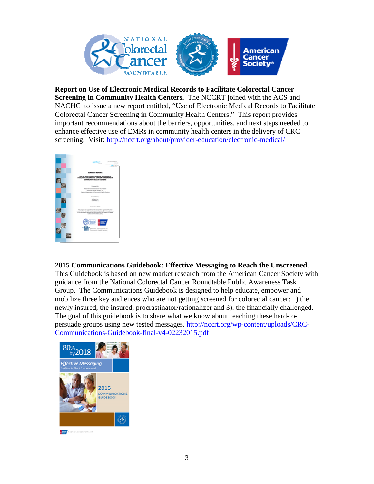

**Report on Use of Electronic Medical Records to Facilitate Colorectal Cancer Screening in Community Health Centers.** The NCCRT joined with the ACS and NACHC to issue a new report entitled, "Use of Electronic Medical Records to Facilitate Colorectal Cancer Screening in Community Health Centers." This report provides important recommendations about the barriers, opportunities, and next steps needed to enhance effective use of EMRs in community health centers in the delivery of CRC screening. Visit: http://nccrt.org/about/provider-education/electronic-medical/



#### **2015 Communications Guidebook: Effective Messaging to Reach the Unscreened**.

This Guidebook is based on new market research from the American Cancer Society with guidance from the National Colorectal Cancer Roundtable Public Awareness Task Group. The Communications Guidebook is designed to help educate, empower and mobilize three key audiences who are not getting screened for colorectal cancer: 1) the newly insured, the insured, procrastinator/rationalizer and 3). the financially challenged. The goal of this guidebook is to share what we know about reaching these hard-topersuade groups using new tested messages. http://nccrt.org/wp-content/uploads/CRC-Communications-Guidebook-final-v4-02232015.pdf